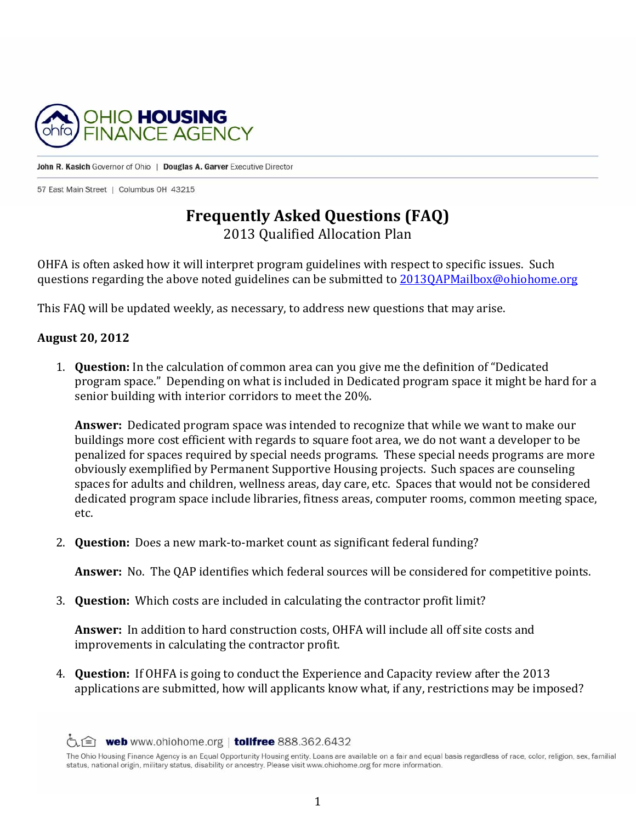

John R. Kasich Governor of Ohio | Douglas A. Garver Executive Director

57 East Main Street | Columbus OH 43215

# **Frequently Asked Questions (FAQ)**

2013 Qualified Allocation Plan 

OHFA is often asked how it will interpret program guidelines with respect to specific issues. Such questions regarding the above noted guidelines can be submitted to 2013QAPMailbox@ohiohome.org

This FAQ will be updated weekly, as necessary, to address new questions that may arise.

#### **August 20, 2012**

1. **Question:** In the calculation of common area can you give me the definition of "Dedicated" program space." Depending on what is included in Dedicated program space it might be hard for a senior building with interior corridors to meet the 20%.

**Answer:** Dedicated program space was intended to recognize that while we want to make our buildings more cost efficient with regards to square foot area, we do not want a developer to be penalized for spaces required by special needs programs. These special needs programs are more obviously exemplified by Permanent Supportive Housing projects. Such spaces are counseling spaces for adults and children, wellness areas, day care, etc. Spaces that would not be considered dedicated program space include libraries, fitness areas, computer rooms, common meeting space, etc. 

2. **Question:** Does a new mark-to-market count as significant federal funding?

Answer: No. The QAP identifies which federal sources will be considered for competitive points.

3. **Question:** Which costs are included in calculating the contractor profit limit?

**Answer:** In addition to hard construction costs, OHFA will include all off site costs and improvements in calculating the contractor profit.

4. **Question:** If OHFA is going to conduct the Experience and Capacity review after the 2013 applications are submitted, how will applicants know what, if any, restrictions may be imposed?

 $\circledcirc$  web www.ohiohome.org | tollfree 888.362.6432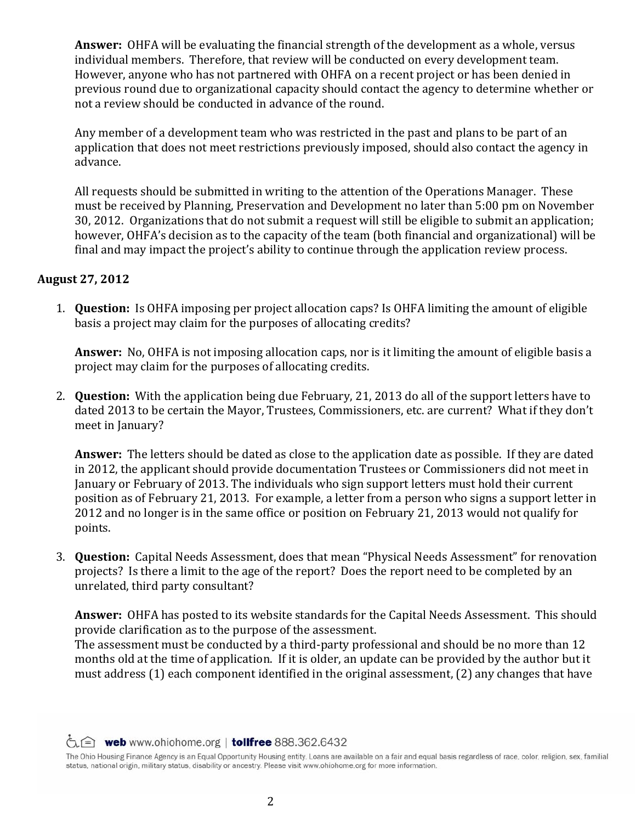**Answer:** OHFA will be evaluating the financial strength of the development as a whole, versus individual members. Therefore, that review will be conducted on every development team. However, anyone who has not partnered with OHFA on a recent project or has been denied in previous round due to organizational capacity should contact the agency to determine whether or not a review should be conducted in advance of the round.

Any member of a development team who was restricted in the past and plans to be part of an application that does not meet restrictions previously imposed, should also contact the agency in advance. 

All requests should be submitted in writing to the attention of the Operations Manager. These must be received by Planning, Preservation and Development no later than 5:00 pm on November 30, 2012. Organizations that do not submit a request will still be eligible to submit an application; however, OHFA's decision as to the capacity of the team (both financial and organizational) will be final and may impact the project's ability to continue through the application review process.

## **August 27, 2012**

1. **Question:** Is OHFA imposing per project allocation caps? Is OHFA limiting the amount of eligible basis a project may claim for the purposes of allocating credits?

**Answer:** No, OHFA is not imposing allocation caps, nor is it limiting the amount of eligible basis a project may claim for the purposes of allocating credits.

2. **Question:** With the application being due February, 21, 2013 do all of the support letters have to dated 2013 to be certain the Mayor, Trustees, Commissioners, etc. are current? What if they don't meet in January?

**Answer:** The letters should be dated as close to the application date as possible. If they are dated in 2012, the applicant should provide documentation Trustees or Commissioners did not meet in January or February of 2013. The individuals who sign support letters must hold their current position as of February 21, 2013. For example, a letter from a person who signs a support letter in 2012 and no longer is in the same office or position on February 21, 2013 would not qualify for points. 

3. **Ouestion:** Capital Needs Assessment, does that mean "Physical Needs Assessment" for renovation projects? Is there a limit to the age of the report? Does the report need to be completed by an unrelated, third party consultant?

**Answer:** OHFA has posted to its website standards for the Capital Needs Assessment. This should provide clarification as to the purpose of the assessment.

The assessment must be conducted by a third-party professional and should be no more than 12 months old at the time of application. If it is older, an update can be provided by the author but it must address  $(1)$  each component identified in the original assessment,  $(2)$  any changes that have

times web www.ohiohome.org | tollfree 888.362.6432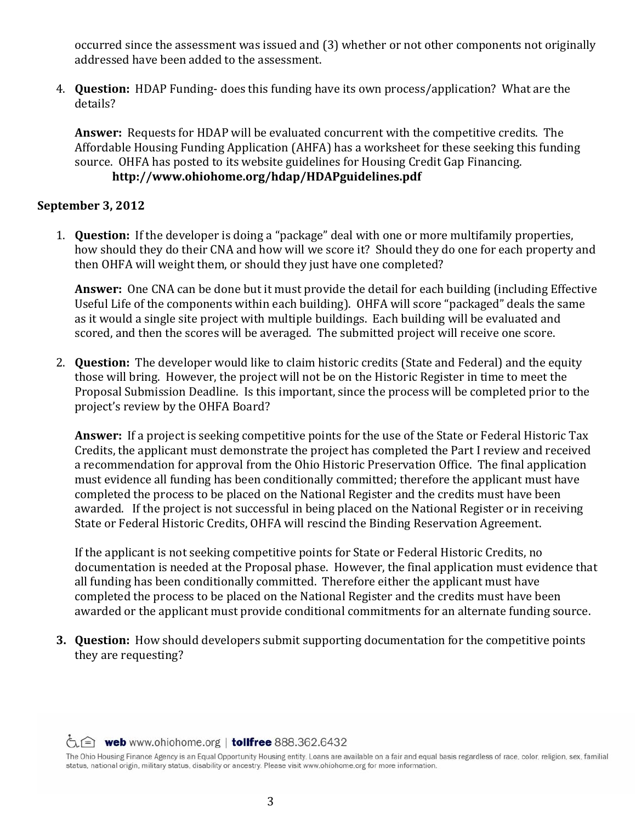occurred since the assessment was issued and (3) whether or not other components not originally addressed have been added to the assessment.

4. **Question:** HDAP Funding- does this funding have its own process/application? What are the details? 

**Answer:** Requests for HDAP will be evaluated concurrent with the competitive credits. The Affordable Housing Funding Application (AHFA) has a worksheet for these seeking this funding source. OHFA has posted to its website guidelines for Housing Credit Gap Financing. **http://www.ohiohome.org/hdap/HDAPguidelines.pdf** 

## **September 3, 2012**

1. **Question:** If the developer is doing a "package" deal with one or more multifamily properties, how should they do their CNA and how will we score it? Should they do one for each property and then OHFA will weight them, or should they just have one completed?

**Answer:** One CNA can be done but it must provide the detail for each building (including Effective Useful Life of the components within each building). OHFA will score "packaged" deals the same as it would a single site project with multiple buildings. Each building will be evaluated and scored, and then the scores will be averaged. The submitted project will receive one score.

2. **Question:** The developer would like to claim historic credits (State and Federal) and the equity those will bring. However, the project will not be on the Historic Register in time to meet the Proposal Submission Deadline. Is this important, since the process will be completed prior to the project's review by the OHFA Board?

**Answer:** If a project is seeking competitive points for the use of the State or Federal Historic Tax Credits, the applicant must demonstrate the project has completed the Part I review and received a recommendation for approval from the Ohio Historic Preservation Office. The final application must evidence all funding has been conditionally committed; therefore the applicant must have completed the process to be placed on the National Register and the credits must have been awarded. If the project is not successful in being placed on the National Register or in receiving State or Federal Historic Credits, OHFA will rescind the Binding Reservation Agreement.

If the applicant is not seeking competitive points for State or Federal Historic Credits, no documentation is needed at the Proposal phase. However, the final application must evidence that all funding has been conditionally committed. Therefore either the applicant must have completed the process to be placed on the National Register and the credits must have been awarded or the applicant must provide conditional commitments for an alternate funding source.

**3. Question:** How should developers submit supporting documentation for the competitive points they are requesting?

times web www.ohiohome.org | tollfree 888.362.6432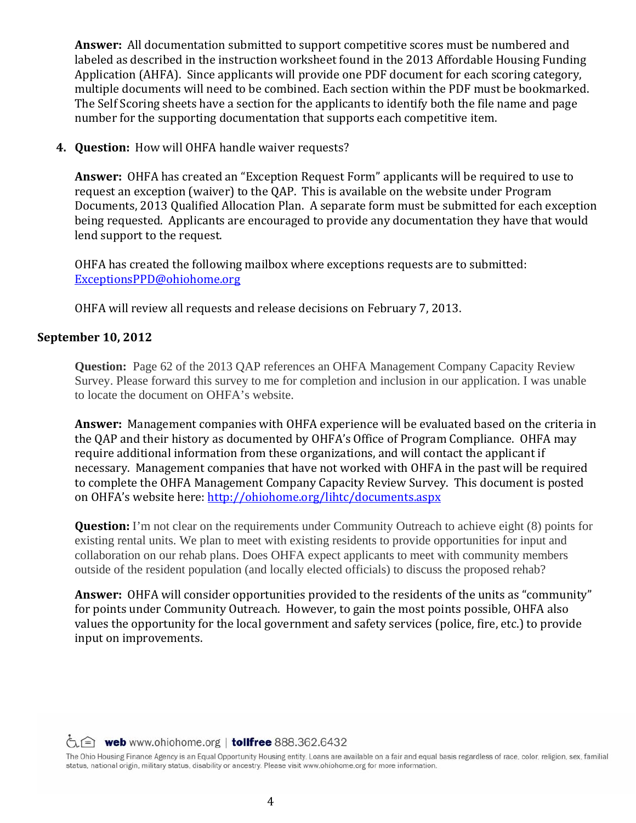**Answer:** All documentation submitted to support competitive scores must be numbered and labeled as described in the instruction worksheet found in the 2013 Affordable Housing Funding Application (AHFA). Since applicants will provide one PDF document for each scoring category, multiple documents will need to be combined. Each section within the PDF must be bookmarked. The Self Scoring sheets have a section for the applicants to identify both the file name and page number for the supporting documentation that supports each competitive item.

**4. Ouestion:** How will OHFA handle waiver requests?

**Answer:** OHFA has created an "Exception Request Form" applicants will be required to use to request an exception (waiver) to the QAP. This is available on the website under Program Documents, 2013 Qualified Allocation Plan. A separate form must be submitted for each exception being requested. Applicants are encouraged to provide any documentation they have that would lend support to the request.

OHFA has created the following mailbox where exceptions requests are to submitted: ExceptionsPPD@ohiohome.org

OHFA will review all requests and release decisions on February 7, 2013.

#### **September 10, 2012**

**Question:** Page 62 of the 2013 OAP references an OHFA Management Company Capacity Review Survey. Please forward this survey to me for completion and inclusion in our application. I was unable to locate the document on OHFA's website.

**Answer:** Management companies with OHFA experience will be evaluated based on the criteria in the QAP and their history as documented by OHFA's Office of Program Compliance. OHFA may require additional information from these organizations, and will contact the applicant if necessary. Management companies that have not worked with OHFA in the past will be required to complete the OHFA Management Company Capacity Review Survey. This document is posted on OHFA's website here: http://ohiohome.org/lihtc/documents.aspx

**Question:** I'm not clear on the requirements under Community Outreach to achieve eight (8) points for existing rental units. We plan to meet with existing residents to provide opportunities for input and collaboration on our rehab plans. Does OHFA expect applicants to meet with community members outside of the resident population (and locally elected officials) to discuss the proposed rehab?

Answer: OHFA will consider opportunities provided to the residents of the units as "community" for points under Community Outreach. However, to gain the most points possible, OHFA also values the opportunity for the local government and safety services (police, fire, etc.) to provide input on improvements.

times web www.ohiohome.org | tollfree 888.362.6432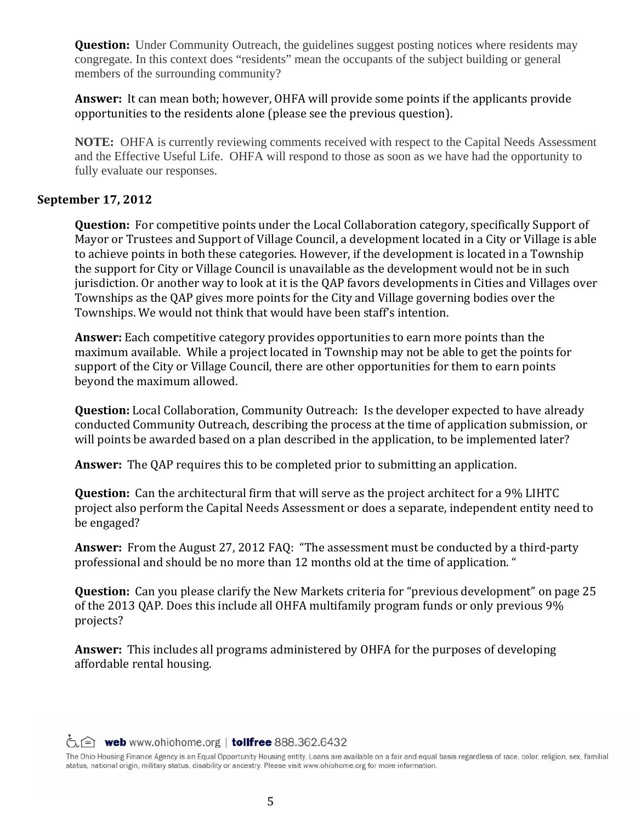**Question:** Under Community Outreach, the guidelines suggest posting notices where residents may congregate. In this context does "residents" mean the occupants of the subject building or general members of the surrounding community?

**Answer:** It can mean both; however, OHFA will provide some points if the applicants provide opportunities to the residents alone (please see the previous question).

**NOTE:** OHFA is currently reviewing comments received with respect to the Capital Needs Assessment and the Effective Useful Life. OHFA will respond to those as soon as we have had the opportunity to fully evaluate our responses.

#### **September 17, 2012**

**Question:** For competitive points under the Local Collaboration category, specifically Support of Mayor or Trustees and Support of Village Council, a development located in a City or Village is able to achieve points in both these categories. However, if the development is located in a Township the support for City or Village Council is unavailable as the development would not be in such jurisdiction. Or another way to look at it is the QAP favors developments in Cities and Villages over Townships as the OAP gives more points for the City and Village governing bodies over the Townships. We would not think that would have been staff's intention.

**Answer:** Each competitive category provides opportunities to earn more points than the maximum available. While a project located in Township may not be able to get the points for support of the City or Village Council, there are other opportunities for them to earn points beyond the maximum allowed.

**Question:** Local Collaboration, Community Outreach: Is the developer expected to have already conducted Community Outreach, describing the process at the time of application submission, or will points be awarded based on a plan described in the application, to be implemented later?

**Answer:** The OAP requires this to be completed prior to submitting an application.

**Question:** Can the architectural firm that will serve as the project architect for a 9% LIHTC project also perform the Capital Needs Assessment or does a separate, independent entity need to be engaged?

Answer: From the August 27, 2012 FAQ: "The assessment must be conducted by a third-party professional and should be no more than 12 months old at the time of application. "

**Question:** Can you please clarify the New Markets criteria for "previous development" on page 25 of the 2013 QAP. Does this include all OHFA multifamily program funds or only previous 9% projects? 

**Answer:** This includes all programs administered by OHFA for the purposes of developing affordable rental housing.

 $\hat{\zeta}$   $\hat{=}$  web www.ohiohome.org | tollfree 888.362.6432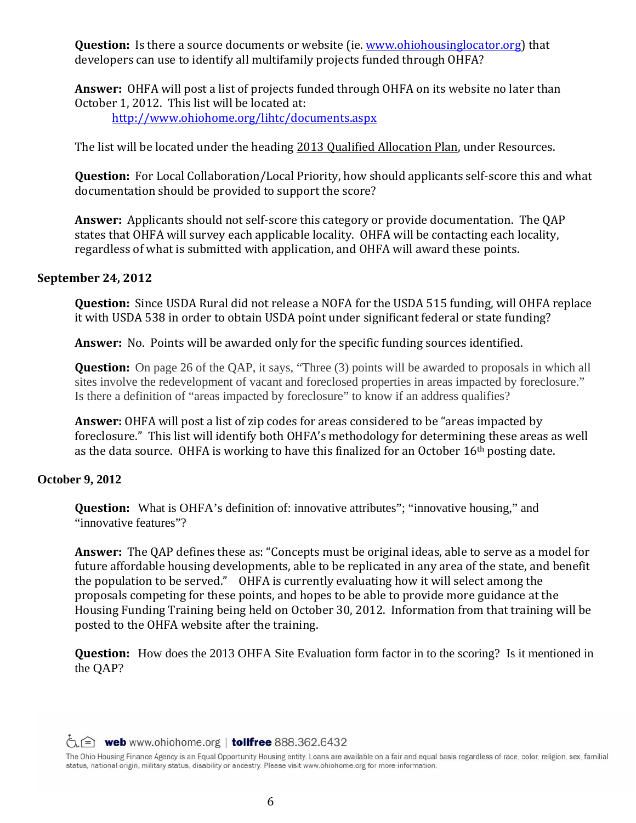**Question:** Is there a source documents or website (ie. www.ohiohousinglocator.org) that developers can use to identify all multifamily projects funded through OHFA?

**Answer:** OHFA will post a list of projects funded through OHFA on its website no later than October 1, 2012. This list will be located at: http://www.ohiohome.org/lihtc/documents.aspx

The list will be located under the heading 2013 Qualified Allocation Plan, under Resources.

**Ouestion:** For Local Collaboration/Local Priority, how should applicants self-score this and what documentation should be provided to support the score?

**Answer:** Applicants should not self-score this category or provide documentation. The QAP states that OHFA will survey each applicable locality. OHFA will be contacting each locality, regardless of what is submitted with application, and OHFA will award these points.

#### **September 24, 2012**

**Question:** Since USDA Rural did not release a NOFA for the USDA 515 funding, will OHFA replace it with USDA 538 in order to obtain USDA point under significant federal or state funding?

**Answer:** No. Points will be awarded only for the specific funding sources identified.

**Question:** On page 26 of the QAP, it says, "Three (3) points will be awarded to proposals in which all sites involve the redevelopment of vacant and foreclosed properties in areas impacted by foreclosure." Is there a definition of "areas impacted by foreclosure" to know if an address qualifies?

**Answer:** OHFA will post a list of zip codes for areas considered to be "areas impacted by foreclosure." This list will identify both OHFA's methodology for determining these areas as well as the data source. OHFA is working to have this finalized for an October  $16<sup>th</sup>$  posting date.

# **October 9, 2012**

**Question:** What is OHFA's definition of: innovative attributes"; "innovative housing," and "innovative features"?

**Answer:** The QAP defines these as: "Concepts must be original ideas, able to serve as a model for future affordable housing developments, able to be replicated in any area of the state, and benefit the population to be served." OHFA is currently evaluating how it will select among the proposals competing for these points, and hopes to be able to provide more guidance at the Housing Funding Training being held on October 30, 2012. Information from that training will be posted to the OHFA website after the training.

**Question:** How does the 2013 OHFA Site Evaluation form factor in to the scoring? Is it mentioned in the QAP?

 $\hat{\zeta}$   $\hat{=}$  web www.ohiohome.org | tollfree 888.362.6432